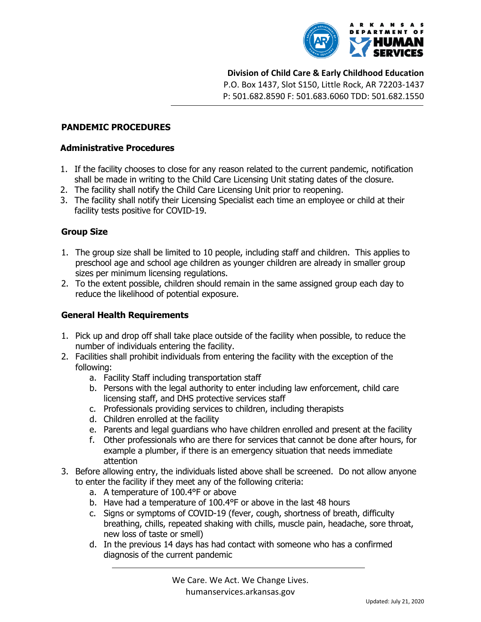

**Division of Child Care & Early Childhood Education** P.O. Box 1437, Slot S150, Little Rock, AR 72203-1437 P: 501.682.8590 F: 501.683.6060 TDD: 501.682.1550

### **PANDEMIC PROCEDURES**

#### **Administrative Procedures**

- 1. If the facility chooses to close for any reason related to the current pandemic, notification shall be made in writing to the Child Care Licensing Unit stating dates of the closure.
- 2. The facility shall notify the Child Care Licensing Unit prior to reopening.
- 3. The facility shall notify their Licensing Specialist each time an employee or child at their facility tests positive for COVID-19.

### **Group Size**

- 1. The group size shall be limited to 10 people, including staff and children. This applies to preschool age and school age children as younger children are already in smaller group sizes per minimum licensing regulations.
- 2. To the extent possible, children should remain in the same assigned group each day to reduce the likelihood of potential exposure.

#### **General Health Requirements**

- 1. Pick up and drop off shall take place outside of the facility when possible, to reduce the number of individuals entering the facility.
- 2. Facilities shall prohibit individuals from entering the facility with the exception of the following:
	- a. Facility Staff including transportation staff
	- b. Persons with the legal authority to enter including law enforcement, child care licensing staff, and DHS protective services staff
	- c. Professionals providing services to children, including therapists
	- d. Children enrolled at the facility
	- e. Parents and legal guardians who have children enrolled and present at the facility
	- f. Other professionals who are there for services that cannot be done after hours, for example a plumber, if there is an emergency situation that needs immediate attention
- 3. Before allowing entry, the individuals listed above shall be screened. Do not allow anyone to enter the facility if they meet any of the following criteria:
	- a. A temperature of 100.4°F or above
	- b. Have had a temperature of 100.4°F or above in the last 48 hours
	- c. Signs or symptoms of COVID-19 (fever, cough, shortness of breath, difficulty breathing, chills, repeated shaking with chills, muscle pain, headache, sore throat, new loss of taste or smell)
	- d. In the previous 14 days has had contact with someone who has a confirmed diagnosis of the current pandemic